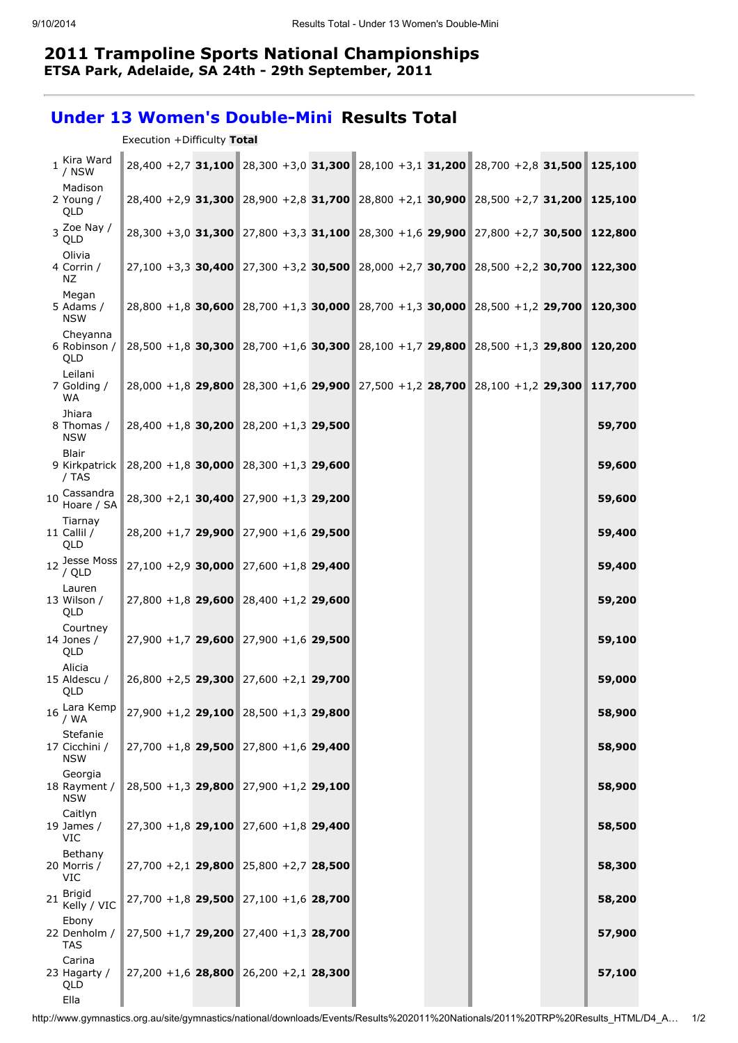## 2011 Trampoline Sports National Championships ETSA Park, Adelaide, SA 24th - 29th September, 2011

## Under 13 Women's Double-Mini Results Total

| Execution +Difficulty Total |  |  |  |
|-----------------------------|--|--|--|
|-----------------------------|--|--|--|

| 1 Kira Ward<br>/ NSW                    |                                           |  |  |  | 28,400 +2,7 31,100 28,300 +3,0 31,300 28,100 +3,1 31,200 28,700 +2,8 31,500 125,100 |        |
|-----------------------------------------|-------------------------------------------|--|--|--|-------------------------------------------------------------------------------------|--------|
| Madison<br>2 Young /<br>QLD             |                                           |  |  |  | 28,400 +2,9 31,300 28,900 +2,8 31,700 28,800 +2,1 30,900 28,500 +2,7 31,200 125,100 |        |
| $3 \nvert 2$ oe Nay /<br>QLD            |                                           |  |  |  | 28,300 +3,0 31,300 27,800 +3,3 31,100 28,300 +1,6 29,900 27,800 +2,7 30,500 122,800 |        |
| Olivia<br>4 Corrin /<br>ΝZ              |                                           |  |  |  | 27,100 +3,3 30,400 27,300 +3,2 30,500 28,000 +2,7 30,700 28,500 +2,2 30,700 122,300 |        |
| Megan<br>5 Adams /<br><b>NSW</b>        |                                           |  |  |  | 28,800 +1,8 30,600 28,700 +1,3 30,000 28,700 +1,3 30,000 28,500 +1,2 29,700 120,300 |        |
| Cheyanna<br>6 Robinson /<br>QLD         |                                           |  |  |  | 28,500 +1,8 30,300 28,700 +1,6 30,300 28,100 +1,7 29,800 28,500 +1,3 29,800 120,200 |        |
| Leilani<br>7 Golding /<br>WA            |                                           |  |  |  | 28,000 +1,8 29,800 28,300 +1,6 29,900 27,500 +1,2 28,700 28,100 +1,2 29,300 117,700 |        |
| Jhiara<br>8 Thomas /<br><b>NSW</b>      | $28,400 + 1,8$ 30,200 28,200 + 1,3 29,500 |  |  |  |                                                                                     | 59,700 |
| Blair<br>9 Kirkpatrick<br>/ TAS         | $28,200 + 1,8$ 30,000 28,300 + 1,3 29,600 |  |  |  |                                                                                     | 59,600 |
| 10 Cassandra<br>Hoare / SA              | $28,300 + 2,1$ 30,400 27,900 +1,3 29,200  |  |  |  |                                                                                     | 59,600 |
| Tiarnay<br>11 Callil /<br>QLD           | $28,200 + 1,7$ 29,900 27,900 +1,6 29,500  |  |  |  |                                                                                     | 59,400 |
| 12 Jesse Moss<br>/ QLD                  | $27,100 + 2,9$ 30,000 27,600 +1,8 29,400  |  |  |  |                                                                                     | 59,400 |
| Lauren<br>13 Wilson /<br>QLD            | $27,800 + 1,8$ 29,600 28,400 +1,2 29,600  |  |  |  |                                                                                     | 59,200 |
| Courtney<br>14 Jones /<br>QLD           | $27,900 + 1,7$ 29,600 27,900 +1,6 29,500  |  |  |  |                                                                                     | 59,100 |
| Alicia<br>15 Aldescu /<br>QLD           | $26,800 + 2,5$ 29,300 27,600 + 2,1 29,700 |  |  |  |                                                                                     | 59,000 |
| Lara Kemp<br>16<br>/ WA                 | $27,900 + 1,2$ 29,100 28,500 + 1,3 29,800 |  |  |  |                                                                                     | 58,900 |
| Stefanie<br>17 Cicchini /<br><b>NSW</b> | $27,700 + 1,8$ 29,500 27,800 + 1,6 29,400 |  |  |  |                                                                                     | 58,900 |
| Georgia<br>18 Rayment /<br><b>NSW</b>   | 28,500 +1,3 29,800 27,900 +1,2 29,100     |  |  |  |                                                                                     | 58,900 |
| Caitlyn<br>19 James /<br>VIC            | $27,300 + 1,8$ 29,100 27,600 + 1,8 29,400 |  |  |  |                                                                                     | 58,500 |
| Bethany<br>20 Morris /<br><b>VIC</b>    | $27,700 + 2,1$ 29,800 25,800 + 2,7 28,500 |  |  |  |                                                                                     | 58,300 |
| <b>Brigid</b><br>21<br>Kelly / VIC      | $27,700 + 1,8$ 29,500 27,100 +1,6 28,700  |  |  |  |                                                                                     | 58,200 |
| Ebony<br>22 Denholm /<br><b>TAS</b>     | $27,500 + 1,7$ 29,200 27,400 +1,3 28,700  |  |  |  |                                                                                     | 57,900 |
| Carina<br>23 Hagarty /<br>QLD<br>Ella   | $27,200 + 1,6$ 28,800 26,200 + 2,1 28,300 |  |  |  |                                                                                     | 57,100 |